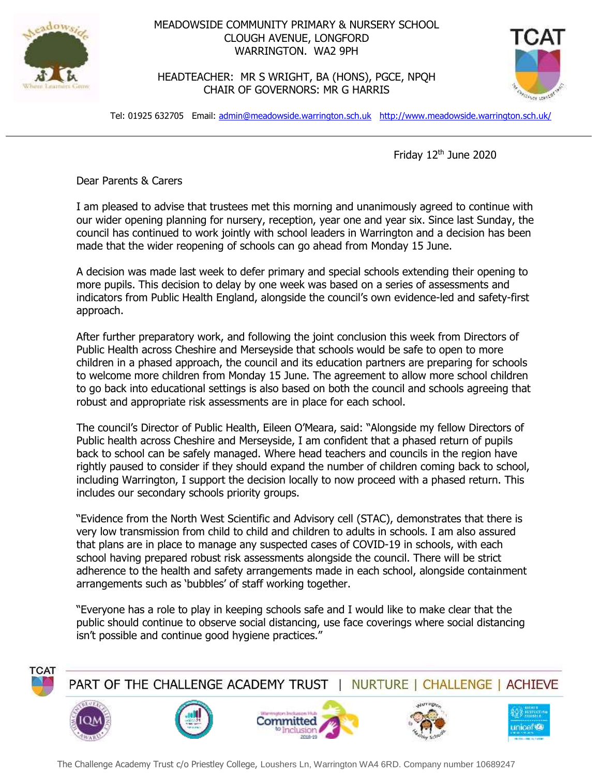

## MEADOWSIDE COMMUNITY PRIMARY & NURSERY SCHOOL CLOUGH AVENUE, LONGFORD WARRINGTON. WA2 9PH

HEADTEACHER: MR S WRIGHT, BA (HONS), PGCE, NPQH CHAIR OF GOVERNORS: MR G HARRIS



Tel: 01925 632705 Email: [admin@meadowside.warrington.sch.uk](mailto:admin@meadowside.warrington.sch.uk) <http://www.meadowside.warrington.sch.uk/>

Friday 12<sup>th</sup> June 2020

Dear Parents & Carers

I am pleased to advise that trustees met this morning and unanimously agreed to continue with our wider opening planning for nursery, reception, year one and year six. Since last Sunday, the council has continued to work jointly with school leaders in Warrington and a decision has been made that the wider reopening of schools can go ahead from Monday 15 June.

A decision was made last week to defer primary and special schools extending their opening to more pupils. This decision to delay by one week was based on a series of assessments and indicators from Public Health England, alongside the council's own evidence-led and safety-first approach.

After further preparatory work, and following the joint conclusion this week from Directors of Public Health across Cheshire and Merseyside that schools would be safe to open to more children in a phased approach, the council and its education partners are preparing for schools to welcome more children from Monday 15 June. The agreement to allow more school children to go back into educational settings is also based on both the council and schools agreeing that robust and appropriate risk assessments are in place for each school.

The council's Director of Public Health, Eileen O'Meara, said: "Alongside my fellow Directors of Public health across Cheshire and Merseyside, I am confident that a phased return of pupils back to school can be safely managed. Where head teachers and councils in the region have rightly paused to consider if they should expand the number of children coming back to school, including Warrington, I support the decision locally to now proceed with a phased return. This includes our secondary schools priority groups.

"Evidence from the North West Scientific and Advisory cell (STAC), demonstrates that there is very low transmission from child to child and children to adults in schools. I am also assured that plans are in place to manage any suspected cases of COVID-19 in schools, with each school having prepared robust risk assessments alongside the council. There will be strict adherence to the health and safety arrangements made in each school, alongside containment arrangements such as 'bubbles' of staff working together.

"Everyone has a role to play in keeping schools safe and I would like to make clear that the public should continue to observe social distancing, use face coverings where social distancing isn't possible and continue good hygiene practices."



PART OF THE CHALLENGE ACADEMY TRUST | NURTURE | CHALLENGE | ACHIEVE











The Challenge Academy Trust c/o Priestley College, Loushers Ln, Warrington WA4 6RD. Company number 10689247